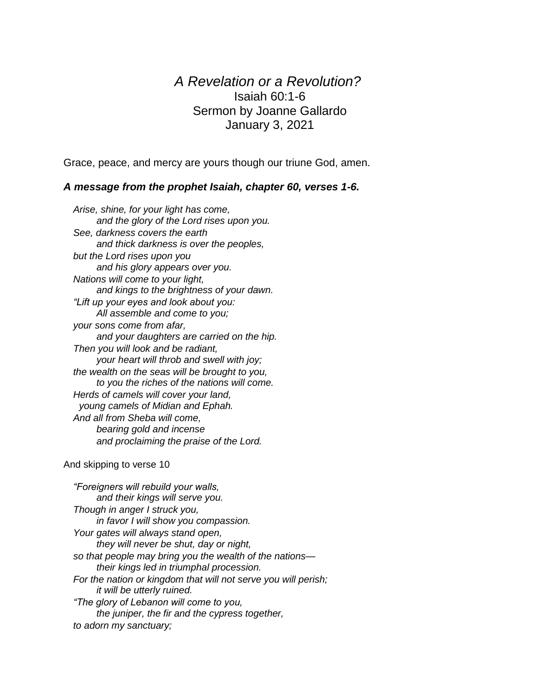## *A Revelation or a Revolution?* Isaiah 60:1-6 Sermon by Joanne Gallardo January 3, 2021

Grace, peace, and mercy are yours though our triune God, amen.

## *A message from the prophet Isaiah, chapter 60, verses 1-6.*

*Arise, shine, for your light has come, and the glory of the Lord rises upon you. See, darkness covers the earth and thick darkness is over the peoples, but the Lord rises upon you and his glory appears over you. Nations will come to your light, and kings to the brightness of your dawn. "Lift up your eyes and look about you: All assemble and come to you; your sons come from afar, and your daughters are carried on the hip. Then you will look and be radiant, your heart will throb and swell with joy; the wealth on the seas will be brought to you, to you the riches of the nations will come. Herds of camels will cover your land, young camels of Midian and Ephah. And all from Sheba will come, bearing gold and incense and proclaiming the praise of the Lord.*

## And skipping to verse 10

*"Foreigners will rebuild your walls, and their kings will serve you. Though in anger I struck you, in favor I will show you compassion. Your gates will always stand open, they will never be shut, day or night, so that people may bring you the wealth of the nations their kings led in triumphal procession. For the nation or kingdom that will not serve you will perish; it will be utterly ruined. "The glory of Lebanon will come to you, the juniper, the fir and the cypress together, to adorn my sanctuary;*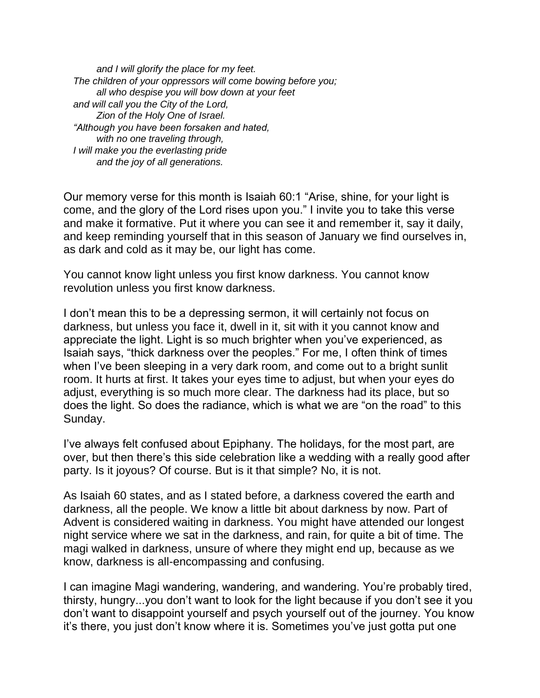*and I will glorify the place for my feet. The children of your oppressors will come bowing before you; all who despise you will bow down at your feet and will call you the City of the Lord, Zion of the Holy One of Israel. "Although you have been forsaken and hated, with no one traveling through, I will make you the everlasting pride and the joy of all generations.*

Our memory verse for this month is Isaiah 60:1 "Arise, shine, for your light is come, and the glory of the Lord rises upon you." I invite you to take this verse and make it formative. Put it where you can see it and remember it, say it daily, and keep reminding yourself that in this season of January we find ourselves in, as dark and cold as it may be, our light has come.

You cannot know light unless you first know darkness. You cannot know revolution unless you first know darkness.

I don't mean this to be a depressing sermon, it will certainly not focus on darkness, but unless you face it, dwell in it, sit with it you cannot know and appreciate the light. Light is so much brighter when you've experienced, as Isaiah says, "thick darkness over the peoples." For me, I often think of times when I've been sleeping in a very dark room, and come out to a bright sunlit room. It hurts at first. It takes your eyes time to adjust, but when your eyes do adjust, everything is so much more clear. The darkness had its place, but so does the light. So does the radiance, which is what we are "on the road" to this Sunday.

I've always felt confused about Epiphany. The holidays, for the most part, are over, but then there's this side celebration like a wedding with a really good after party. Is it joyous? Of course. But is it that simple? No, it is not.

As Isaiah 60 states, and as I stated before, a darkness covered the earth and darkness, all the people. We know a little bit about darkness by now. Part of Advent is considered waiting in darkness. You might have attended our longest night service where we sat in the darkness, and rain, for quite a bit of time. The magi walked in darkness, unsure of where they might end up, because as we know, darkness is all-encompassing and confusing.

I can imagine Magi wandering, wandering, and wandering. You're probably tired, thirsty, hungry...you don't want to look for the light because if you don't see it you don't want to disappoint yourself and psych yourself out of the journey. You know it's there, you just don't know where it is. Sometimes you've just gotta put one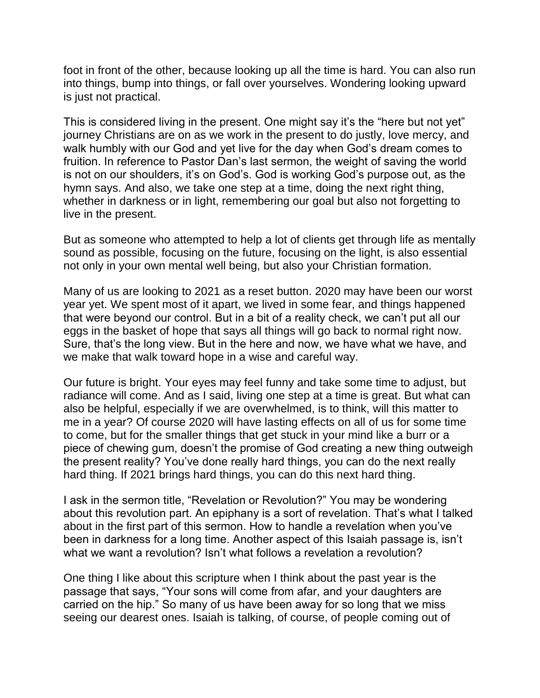foot in front of the other, because looking up all the time is hard. You can also run into things, bump into things, or fall over yourselves. Wondering looking upward is just not practical.

This is considered living in the present. One might say it's the "here but not yet" journey Christians are on as we work in the present to do justly, love mercy, and walk humbly with our God and yet live for the day when God's dream comes to fruition. In reference to Pastor Dan's last sermon, the weight of saving the world is not on our shoulders, it's on God's. God is working God's purpose out, as the hymn says. And also, we take one step at a time, doing the next right thing, whether in darkness or in light, remembering our goal but also not forgetting to live in the present.

But as someone who attempted to help a lot of clients get through life as mentally sound as possible, focusing on the future, focusing on the light, is also essential not only in your own mental well being, but also your Christian formation.

Many of us are looking to 2021 as a reset button. 2020 may have been our worst year yet. We spent most of it apart, we lived in some fear, and things happened that were beyond our control. But in a bit of a reality check, we can't put all our eggs in the basket of hope that says all things will go back to normal right now. Sure, that's the long view. But in the here and now, we have what we have, and we make that walk toward hope in a wise and careful way.

Our future is bright. Your eyes may feel funny and take some time to adjust, but radiance will come. And as I said, living one step at a time is great. But what can also be helpful, especially if we are overwhelmed, is to think, will this matter to me in a year? Of course 2020 will have lasting effects on all of us for some time to come, but for the smaller things that get stuck in your mind like a burr or a piece of chewing gum, doesn't the promise of God creating a new thing outweigh the present reality? You've done really hard things, you can do the next really hard thing. If 2021 brings hard things, you can do this next hard thing.

I ask in the sermon title, "Revelation or Revolution?" You may be wondering about this revolution part. An epiphany is a sort of revelation. That's what I talked about in the first part of this sermon. How to handle a revelation when you've been in darkness for a long time. Another aspect of this Isaiah passage is, isn't what we want a revolution? Isn't what follows a revelation a revolution?

One thing I like about this scripture when I think about the past year is the passage that says, "Your sons will come from afar, and your daughters are carried on the hip." So many of us have been away for so long that we miss seeing our dearest ones. Isaiah is talking, of course, of people coming out of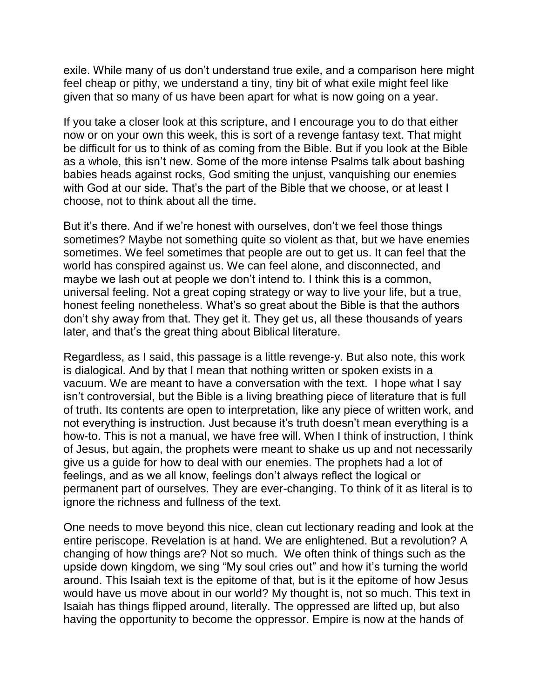exile. While many of us don't understand true exile, and a comparison here might feel cheap or pithy, we understand a tiny, tiny bit of what exile might feel like given that so many of us have been apart for what is now going on a year.

If you take a closer look at this scripture, and I encourage you to do that either now or on your own this week, this is sort of a revenge fantasy text. That might be difficult for us to think of as coming from the Bible. But if you look at the Bible as a whole, this isn't new. Some of the more intense Psalms talk about bashing babies heads against rocks, God smiting the unjust, vanquishing our enemies with God at our side. That's the part of the Bible that we choose, or at least I choose, not to think about all the time.

But it's there. And if we're honest with ourselves, don't we feel those things sometimes? Maybe not something quite so violent as that, but we have enemies sometimes. We feel sometimes that people are out to get us. It can feel that the world has conspired against us. We can feel alone, and disconnected, and maybe we lash out at people we don't intend to. I think this is a common, universal feeling. Not a great coping strategy or way to live your life, but a true, honest feeling nonetheless. What's so great about the Bible is that the authors don't shy away from that. They get it. They get us, all these thousands of years later, and that's the great thing about Biblical literature.

Regardless, as I said, this passage is a little revenge-y. But also note, this work is dialogical. And by that I mean that nothing written or spoken exists in a vacuum. We are meant to have a conversation with the text. I hope what I say isn't controversial, but the Bible is a living breathing piece of literature that is full of truth. Its contents are open to interpretation, like any piece of written work, and not everything is instruction. Just because it's truth doesn't mean everything is a how-to. This is not a manual, we have free will. When I think of instruction, I think of Jesus, but again, the prophets were meant to shake us up and not necessarily give us a guide for how to deal with our enemies. The prophets had a lot of feelings, and as we all know, feelings don't always reflect the logical or permanent part of ourselves. They are ever-changing. To think of it as literal is to ignore the richness and fullness of the text.

One needs to move beyond this nice, clean cut lectionary reading and look at the entire periscope. Revelation is at hand. We are enlightened. But a revolution? A changing of how things are? Not so much. We often think of things such as the upside down kingdom, we sing "My soul cries out" and how it's turning the world around. This Isaiah text is the epitome of that, but is it the epitome of how Jesus would have us move about in our world? My thought is, not so much. This text in Isaiah has things flipped around, literally. The oppressed are lifted up, but also having the opportunity to become the oppressor. Empire is now at the hands of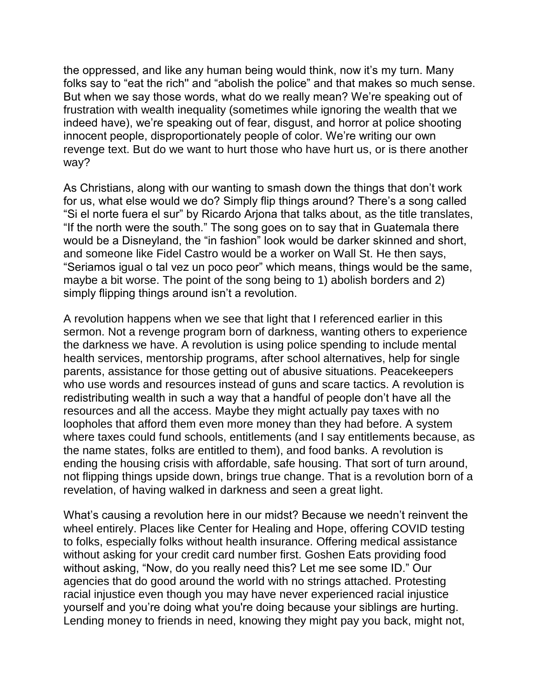the oppressed, and like any human being would think, now it's my turn. Many folks say to "eat the rich'' and "abolish the police" and that makes so much sense. But when we say those words, what do we really mean? We're speaking out of frustration with wealth inequality (sometimes while ignoring the wealth that we indeed have), we're speaking out of fear, disgust, and horror at police shooting innocent people, disproportionately people of color. We're writing our own revenge text. But do we want to hurt those who have hurt us, or is there another way?

As Christians, along with our wanting to smash down the things that don't work for us, what else would we do? Simply flip things around? There's a song called "Si el norte fuera el sur" by Ricardo Arjona that talks about, as the title translates, "If the north were the south." The song goes on to say that in Guatemala there would be a Disneyland, the "in fashion" look would be darker skinned and short, and someone like Fidel Castro would be a worker on Wall St. He then says, "Seriamos igual o tal vez un poco peor" which means, things would be the same, maybe a bit worse. The point of the song being to 1) abolish borders and 2) simply flipping things around isn't a revolution.

A revolution happens when we see that light that I referenced earlier in this sermon. Not a revenge program born of darkness, wanting others to experience the darkness we have. A revolution is using police spending to include mental health services, mentorship programs, after school alternatives, help for single parents, assistance for those getting out of abusive situations. Peacekeepers who use words and resources instead of guns and scare tactics. A revolution is redistributing wealth in such a way that a handful of people don't have all the resources and all the access. Maybe they might actually pay taxes with no loopholes that afford them even more money than they had before. A system where taxes could fund schools, entitlements (and I say entitlements because, as the name states, folks are entitled to them), and food banks. A revolution is ending the housing crisis with affordable, safe housing. That sort of turn around, not flipping things upside down, brings true change. That is a revolution born of a revelation, of having walked in darkness and seen a great light.

What's causing a revolution here in our midst? Because we needn't reinvent the wheel entirely. Places like Center for Healing and Hope, offering COVID testing to folks, especially folks without health insurance. Offering medical assistance without asking for your credit card number first. Goshen Eats providing food without asking, "Now, do you really need this? Let me see some ID." Our agencies that do good around the world with no strings attached. Protesting racial injustice even though you may have never experienced racial injustice yourself and you're doing what you're doing because your siblings are hurting. Lending money to friends in need, knowing they might pay you back, might not,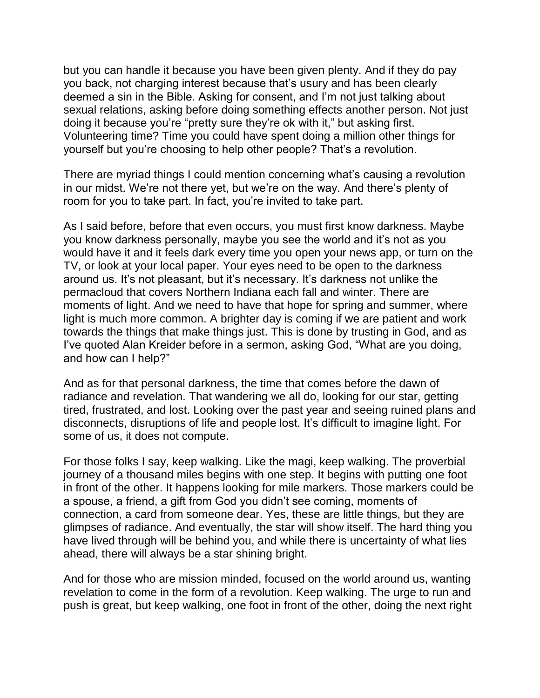but you can handle it because you have been given plenty. And if they do pay you back, not charging interest because that's usury and has been clearly deemed a sin in the Bible. Asking for consent, and I'm not just talking about sexual relations, asking before doing something effects another person. Not just doing it because you're "pretty sure they're ok with it," but asking first. Volunteering time? Time you could have spent doing a million other things for yourself but you're choosing to help other people? That's a revolution.

There are myriad things I could mention concerning what's causing a revolution in our midst. We're not there yet, but we're on the way. And there's plenty of room for you to take part. In fact, you're invited to take part.

As I said before, before that even occurs, you must first know darkness. Maybe you know darkness personally, maybe you see the world and it's not as you would have it and it feels dark every time you open your news app, or turn on the TV, or look at your local paper. Your eyes need to be open to the darkness around us. It's not pleasant, but it's necessary. It's darkness not unlike the permacloud that covers Northern Indiana each fall and winter. There are moments of light. And we need to have that hope for spring and summer, where light is much more common. A brighter day is coming if we are patient and work towards the things that make things just. This is done by trusting in God, and as I've quoted Alan Kreider before in a sermon, asking God, "What are you doing, and how can I help?"

And as for that personal darkness, the time that comes before the dawn of radiance and revelation. That wandering we all do, looking for our star, getting tired, frustrated, and lost. Looking over the past year and seeing ruined plans and disconnects, disruptions of life and people lost. It's difficult to imagine light. For some of us, it does not compute.

For those folks I say, keep walking. Like the magi, keep walking. The proverbial journey of a thousand miles begins with one step. It begins with putting one foot in front of the other. It happens looking for mile markers. Those markers could be a spouse, a friend, a gift from God you didn't see coming, moments of connection, a card from someone dear. Yes, these are little things, but they are glimpses of radiance. And eventually, the star will show itself. The hard thing you have lived through will be behind you, and while there is uncertainty of what lies ahead, there will always be a star shining bright.

And for those who are mission minded, focused on the world around us, wanting revelation to come in the form of a revolution. Keep walking. The urge to run and push is great, but keep walking, one foot in front of the other, doing the next right